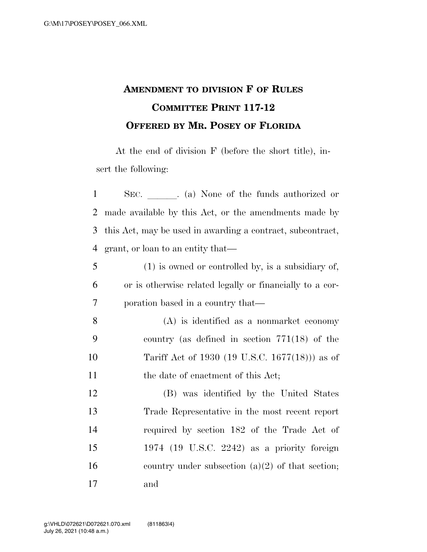## **AMENDMENT TO DIVISION F OF RULES COMMITTEE PRINT 117-12 OFFERED BY MR. POSEY OF FLORIDA**

At the end of division F (before the short title), insert the following:

| $\mathbf{1}$   | SEC. (a) None of the funds authorized or                   |                                                      |  |  |
|----------------|------------------------------------------------------------|------------------------------------------------------|--|--|
| $\overline{2}$ | made available by this Act, or the amendments made by      |                                                      |  |  |
| 3              | this Act, may be used in awarding a contract, subcontract, |                                                      |  |  |
| $\overline{4}$ | grant, or loan to an entity that—                          |                                                      |  |  |
| 5              |                                                            | $(1)$ is owned or controlled by, is a subsidiary of, |  |  |
| 6              | or is otherwise related legally or financially to a cor-   |                                                      |  |  |
| 7              | poration based in a country that—                          |                                                      |  |  |
| 8              |                                                            | $(A)$ is identified as a nonmarket economy           |  |  |
| 9              |                                                            | country (as defined in section $771(18)$ of the      |  |  |
| 10             |                                                            | Tariff Act of 1930 (19 U.S.C. 1677(18))) as of       |  |  |
| 11             |                                                            | the date of enactment of this Act;                   |  |  |
| 12             |                                                            | (B) was identified by the United States              |  |  |
| 13             |                                                            | Trade Representative in the most recent report       |  |  |
| 14             |                                                            | required by section 182 of the Trade Act of          |  |  |
| 15             |                                                            | 1974 (19 U.S.C. 2242) as a priority foreign          |  |  |
| 16             |                                                            | country under subsection $(a)(2)$ of that section;   |  |  |
| 17             | and                                                        |                                                      |  |  |